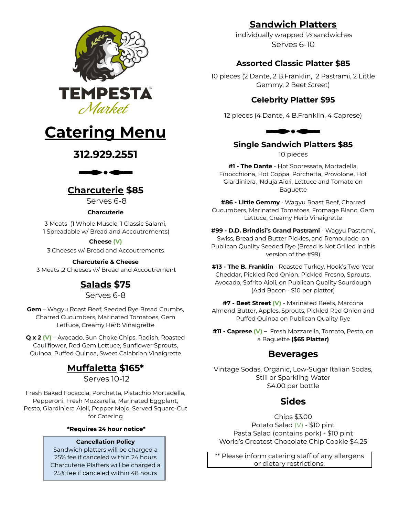



# **312.929.2551**



# **Charcuterie \$85**

Serves 6-8

#### **Charcuterie**

3 Meats (1 Whole Muscle, 1 Classic Salami, 1 Spreadable w/ Bread and Accoutrements)

#### **Cheese (V)**

3 Cheeses w/ Bread and Accoutrements

#### **Charcuterie & Cheese**

3 Meats ,2 Cheeses w/ Bread and Accoutrement

# **Salads \$75**

Serves 6-8

**Gem** – Wagyu Roast Beef, Seeded Rye Bread Crumbs, Charred Cucumbers, Marinated Tomatoes, Gem Lettuce, Creamy Herb Vinaigrette

**Q x 2 (V)** – Avocado, Sun Choke Chips, Radish, Roasted Cauliflower, Red Gem Lettuce, Sunflower Sprouts, Quinoa, Puffed Quinoa, Sweet Calabrian Vinaigrette

# **Muffaletta \$165\***

Serves 10-12

Fresh Baked Focaccia, Porchetta, Pistachio Mortadella, Pepperoni, Fresh Mozzarella, Marinated Eggplant, Pesto, Giardiniera Aioli, Pepper Mojo. Served Square-Cut for Catering

#### **\*Requires 24 hour notice\***

#### **Cancellation Policy**

Sandwich platters will be charged a 25% fee if canceled within 24 hours Charcuterie Platters will be charged a 25% fee if canceled within 48 hours

# **Sandwich Platters**

individually wrapped ½ sandwiches Serves 6-10

## **Assorted Classic Platter \$85**

10 pieces (2 Dante, 2 B.Franklin, 2 Pastrami, 2 Little Gemmy, 2 Beet Street)

## **Celebrity Platter \$95**

12 pieces (4 Dante, 4 B.Franklin, 4 Caprese)



## **Single Sandwich Platters \$85**

10 pieces

**#1 - The Dante** - Hot Sopressata, Mortadella, Finocchiona, Hot Coppa, Porchetta, Provolone, Hot Giardiniera, 'Nduja Aioli, Lettuce and Tomato on Baguette

**#86 - Little Gemmy** - Wagyu Roast Beef, Charred Cucumbers, Marinated Tomatoes, Fromage Blanc, Gem Lettuce, Creamy Herb Vinaigrette

**#99 - D.D. Brindisi's Grand Pastrami** - Wagyu Pastrami, Swiss, Bread and Butter Pickles, and Remoulade on Publican Quality Seeded Rye (Bread is Not Grilled in this version of the #99)

**#13 - The B. Franklin** - Roasted Turkey, Hook's Two-Year Cheddar, Pickled Red Onion, Pickled Fresno, Sprouts, Avocado, Sofrito Aioli, on Publican Quality Sourdough (Add Bacon - \$10 per platter)

**#7 - Beet Street (V)** - Marinated Beets, Marcona Almond Butter, Apples, Sprouts, Pickled Red Onion and Puffed Quinoa on Publican Quality Rye

**#11 - Caprese (V) –** Fresh Mozzarella, Tomato, Pesto, on a Baguette **(\$65 Platter)**

## **Beverages**

Vintage Sodas, Organic, Low-Sugar Italian Sodas, Still or Sparkling Water \$4.00 per bottle

## **Sides**

Chips \$3.00 Potato Salad (V) - \$10 pint Pasta Salad (contains pork) - \$10 pint World's Greatest Chocolate Chip Cookie \$4.25

\*\* Please inform catering staff of any allergens or dietary restrictions.